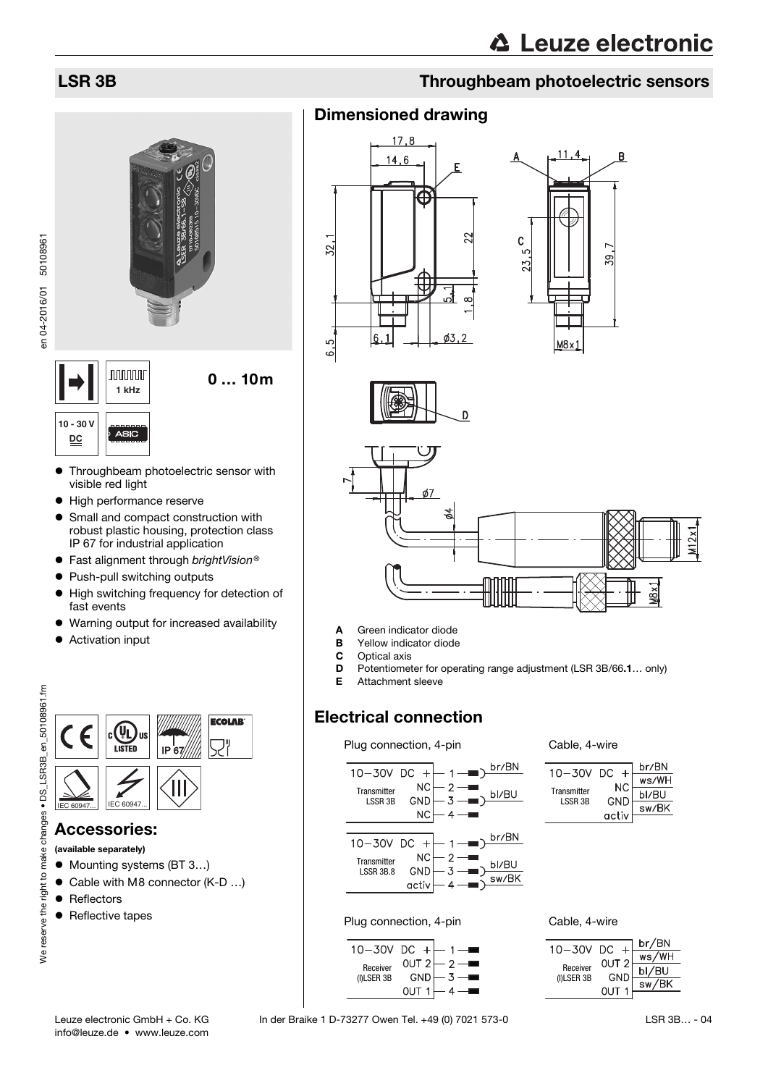# **nnnnn**

0 … 10m

en 04-2016/01 50108961 en 04-2016/01 50108961



- Throughbeam photoelectric sensor with visible red light
- $\bullet$  High performance reserve
- Small and compact construction with robust plastic housing, protection class IP 67 for industrial application
- $\bullet$  Fast alignment through brightVision®
- Push-pull switching outputs
- $\bullet$  High switching frequency for detection of fast events
- Warning output for increased availability
- **•** Activation input



### Accessories:

- (available separately)
- Mounting systems (BT 3...)
- Cable with M8 connector (K-D ...)
- Reflectors
- Reflective tapes

# LSR 3B Throughbeam photoelectric sensors

## Dimensioned drawing









- A Green indicator diode
- **B** Yellow indicator diode<br>**C** Optical axis
- Optical axis
- D Potentiometer for operating range adjustment (LSR 3B/66.1… only)
- E Attachment sleeve

### Electrical connection

### Plug connection, 4-pin Cable, 4-wire



 $\overline{+}$ 

 $\overline{2}$ 

 $\overline{3}$ 

 $4 -$ 

OUT<sub>2</sub>

OUT<sub>1</sub>

GND

| $10 - 30V$             | - DC  | br/BN |
|------------------------|-------|-------|
|                        | NC.   | ws/WH |
| Transmitter<br>LSSR 3B | GND   | bl/BU |
|                        | activ | sw/BK |
|                        |       |       |

Plug connection, 4-pin Cable, 4-wire



Receiver (I)LSER 3B

 $10 - 30V$  DC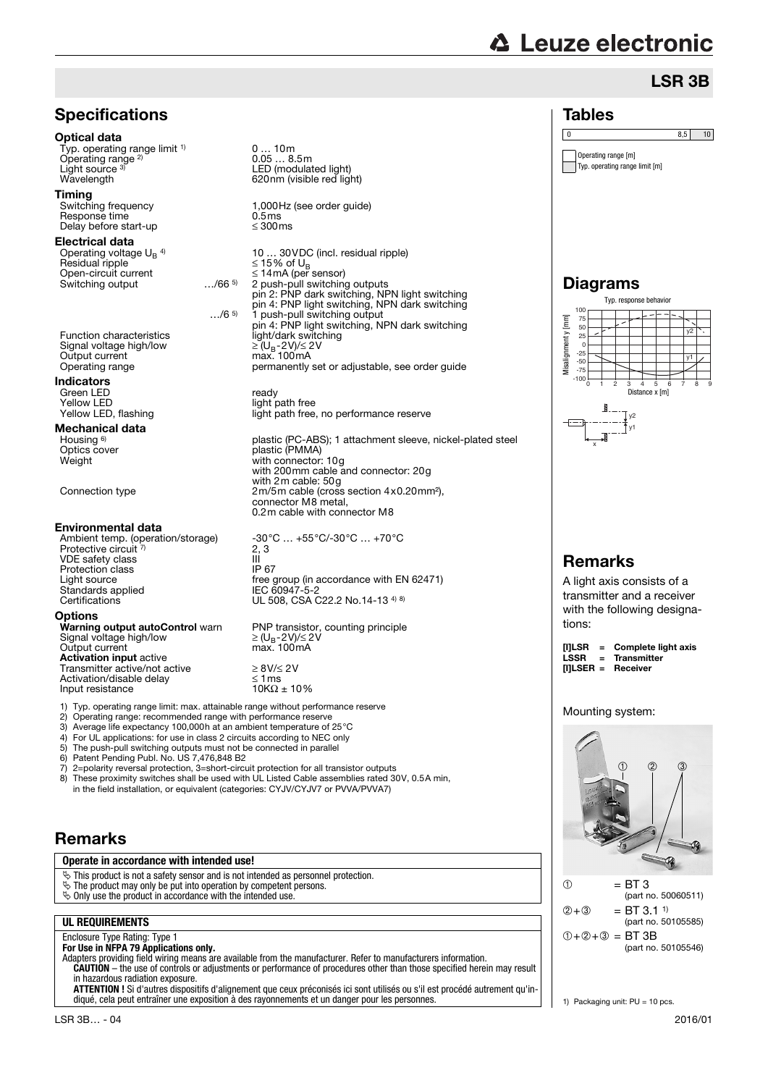# **△ Leuze electronic**

Operating range [m] Typ. operating range limit [m]

0 8.5 10

Tables

## LSR 3B



0 … 10m 0.05 … 8.5m

1,000Hz (see order guide)<br>0.5ms

10 … 30VDC (incl. residual ripple) pin 4: PNP light switching, NPN dark switching …/6 5) 1 push-pull switching output pin 4: PNP light switching, NPN dark switching permanently set or adjustable, see order guide

light path free<br>light path free, no performance reserve

plastic (PC-ABS); 1 attachment sleeve, nickel-plated steel Optics cover plastic (PMMA) with 200mm cable and connector: 20g with 2m cable: 50g connector M8 metal, 0.2m cable with connector M8

> free group (in accordance with EN 62471)<br>IEC 60947-5-2 UL 508, CSA C22.2 No.14-13 4) 8)

PNP transistor, counting principle  $\geq$  (U<sub>B</sub>-2V)/ $\leq$  2V<br>max. 100mA

6) Patent Pending Publ. No. US 7,476,848 B2

7) 2=polarity reversal protection, 3=short-circuit protection for all transistor outputs<br>8) These proximity switches shall be used with UL Listed Cable assemblies rated 30

These proximity switches shall be used with UL Listed Cable assemblies rated 30V, 0.5A min, in the field installation, or equivalent (categories: CYJV/CYJV7 or PVVA/PVVA7)

### Remarks

**Operate in accordance with intended use!**

 $\ddot{\phi}$  This product is not a safety sensor and is not intended as personnel protection.

- $\ddot{\mathbb{S}}$  The product may only be put into operation by competent persons.
- $\ddot{\mathbf{\diamond}}$  Only use the product in accordance with the intended use.

### **UL REQUIREMENTS**

Enclosure Type Rating: Type 1

**For Use in NFPA 79 Applications only.**

Adapters providing field wiring means are available from the manufacturer. Refer to manufacturers information. **CAUTION** – the use of controls or adjustments or performance of procedures other than those specified herein may result in hazardous radiation exposure.

**ATTENTION !** Si d'autres dispositifs d'alignement que ceux préconisés ici sont utilisés ou s'il est procédé autrement qu'indiqué, cela peut entraîner une exposition à des rayonnements et un danger pour les personnes.



### Remarks

A light axis consists of a transmitter and a receiver with the following designations:

| [I]LSR | $=$ Complete light axis |
|--------|-------------------------|
| LSSR   | = Transmitter           |
|        | [I]LSER = Receiver      |

### Mounting system:





1) Packaging unit: PU = 10 pcs.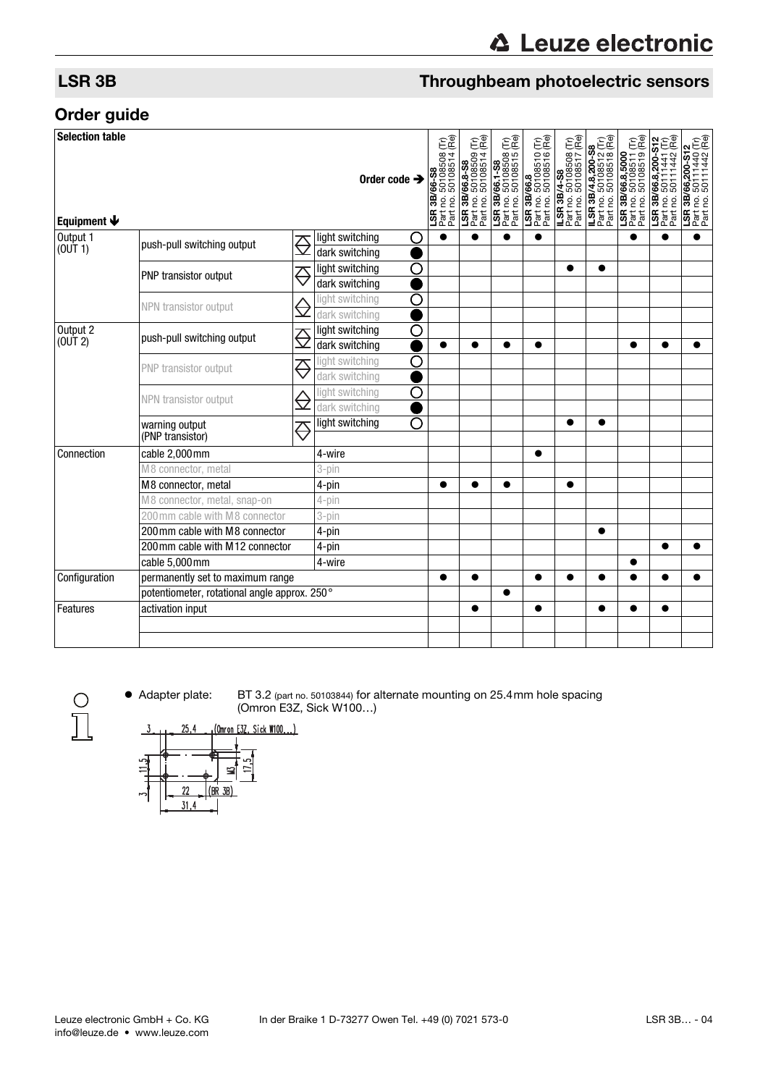### LSR 3B Throughbeam photoelectric sensors

### Order guide

| <b>Selection table</b><br>Equipment $\blacklozenge$ |                                              |                           | Order code $\rightarrow$               | <b>LSR 3B/66-S8</b><br>Part no. 50108508 (Tr)<br>Part no. 50108514 (Re) | <b>LSR 3B/66.8-S8</b><br>Part no. 50108509 (Tr)<br>Part no. 50108514 (Re) | <b>LSR 3B/66.1-S8</b><br>Part no. 50108508 (Tr)<br>Part no. 50108515 (Re) | LSR 3B/66.8<br>Part no. 50108510 (Tr)<br>Part no. 50108516 (Re) | <b>ILSR 3B/4-S8</b><br>Part no. 50108508 (Tr)<br>Part no. 50108517 (Re) | <b>ILSR 3B/4.8,200-S8</b><br>Part no. 50108512 (Tr)<br>Part no. 50108518 (Re) | <b>LSR 3B/66.8,5000</b><br>Part no. 50108511 (Tr)<br>Part no. 50108519 (Re) | LSR 3B/66.8,200-S12<br>Part no. 50111441 (Tr)<br>Part no. 50111442 (Re) | <b>LSR 3B/66,200-S12</b><br>Part no. 50111440 (Tr)<br>Part no. 50111442 (Re) |
|-----------------------------------------------------|----------------------------------------------|---------------------------|----------------------------------------|-------------------------------------------------------------------------|---------------------------------------------------------------------------|---------------------------------------------------------------------------|-----------------------------------------------------------------|-------------------------------------------------------------------------|-------------------------------------------------------------------------------|-----------------------------------------------------------------------------|-------------------------------------------------------------------------|------------------------------------------------------------------------------|
| Output 1<br>(0UT1)                                  | push-pull switching output                   |                           | light switching<br>O                   | $\bullet$                                                               | $\bullet$                                                                 | ●                                                                         | $\bullet$                                                       |                                                                         |                                                                               |                                                                             | ●                                                                       | ●                                                                            |
|                                                     |                                              |                           | dark switching                         |                                                                         |                                                                           |                                                                           |                                                                 |                                                                         |                                                                               |                                                                             |                                                                         |                                                                              |
|                                                     | PNP transistor output                        | $\overline{\mathfrak{S}}$ | light switching<br>О<br>dark switching |                                                                         |                                                                           |                                                                           |                                                                 | ●                                                                       |                                                                               |                                                                             |                                                                         |                                                                              |
|                                                     |                                              |                           | О<br>light switching                   |                                                                         |                                                                           |                                                                           |                                                                 |                                                                         |                                                                               |                                                                             |                                                                         |                                                                              |
|                                                     | NPN transistor output                        | $\ominus$                 | dark switching                         |                                                                         |                                                                           |                                                                           |                                                                 |                                                                         |                                                                               |                                                                             |                                                                         |                                                                              |
| Output 2                                            |                                              |                           | O<br>light switching                   |                                                                         |                                                                           |                                                                           |                                                                 |                                                                         |                                                                               |                                                                             |                                                                         |                                                                              |
| (OUT 2)                                             | push-pull switching output                   | $\overline{\mathfrak{S}}$ | dark switching                         | ●                                                                       |                                                                           |                                                                           | $\bullet$                                                       |                                                                         |                                                                               |                                                                             |                                                                         |                                                                              |
|                                                     | PNP transistor output                        |                           | light switching<br>О                   |                                                                         |                                                                           |                                                                           |                                                                 |                                                                         |                                                                               |                                                                             |                                                                         |                                                                              |
|                                                     |                                              | $\overline{\mathfrak{S}}$ | dark switching                         |                                                                         |                                                                           |                                                                           |                                                                 |                                                                         |                                                                               |                                                                             |                                                                         |                                                                              |
|                                                     | NPN transistor output                        |                           | ∩<br>light switching                   |                                                                         |                                                                           |                                                                           |                                                                 |                                                                         |                                                                               |                                                                             |                                                                         |                                                                              |
|                                                     |                                              | $\ominus$                 | dark switching                         |                                                                         |                                                                           |                                                                           |                                                                 |                                                                         |                                                                               |                                                                             |                                                                         |                                                                              |
|                                                     | warning output<br>(PNP transistor)           | $\overline{\mathbb{C}}$   | O<br>light switching                   |                                                                         |                                                                           |                                                                           |                                                                 | $\bullet$                                                               | ●                                                                             |                                                                             |                                                                         |                                                                              |
| Connection                                          | cable 2,000mm                                |                           | 4-wire                                 |                                                                         |                                                                           |                                                                           | ●                                                               |                                                                         |                                                                               |                                                                             |                                                                         |                                                                              |
|                                                     | M8 connector, metal                          |                           | 3-pin                                  |                                                                         |                                                                           |                                                                           |                                                                 |                                                                         |                                                                               |                                                                             |                                                                         |                                                                              |
|                                                     | M8 connector, metal                          |                           | 4-pin                                  |                                                                         |                                                                           |                                                                           |                                                                 | ●                                                                       |                                                                               |                                                                             |                                                                         |                                                                              |
|                                                     | M8 connector, metal, snap-on                 |                           |                                        |                                                                         |                                                                           |                                                                           |                                                                 |                                                                         |                                                                               |                                                                             |                                                                         |                                                                              |
|                                                     | 200 mm cable with M8 connector               |                           | 3-pin                                  |                                                                         |                                                                           |                                                                           |                                                                 |                                                                         |                                                                               |                                                                             |                                                                         |                                                                              |
|                                                     | 200 mm cable with M8 connector               |                           | 4-pin                                  |                                                                         |                                                                           |                                                                           |                                                                 |                                                                         | $\bullet$                                                                     |                                                                             |                                                                         |                                                                              |
|                                                     | 200 mm cable with M12 connector              |                           | 4-pin                                  |                                                                         |                                                                           |                                                                           |                                                                 |                                                                         |                                                                               |                                                                             |                                                                         |                                                                              |
|                                                     | cable 5,000mm<br>4-wire                      |                           |                                        |                                                                         |                                                                           |                                                                           |                                                                 |                                                                         |                                                                               |                                                                             |                                                                         |                                                                              |
| Configuration                                       | permanently set to maximum range             |                           |                                        | $\bullet$                                                               |                                                                           |                                                                           | $\bullet$                                                       | ●                                                                       | ●                                                                             |                                                                             |                                                                         |                                                                              |
|                                                     | potentiometer, rotational angle approx. 250° |                           |                                        |                                                                         |                                                                           | ●                                                                         |                                                                 |                                                                         |                                                                               |                                                                             |                                                                         |                                                                              |
| Features                                            | activation input                             |                           |                                        |                                                                         |                                                                           |                                                                           | $\bullet$                                                       |                                                                         |                                                                               |                                                                             | ●                                                                       |                                                                              |
|                                                     |                                              |                           |                                        |                                                                         |                                                                           |                                                                           |                                                                 |                                                                         |                                                                               |                                                                             |                                                                         |                                                                              |
|                                                     |                                              |                           |                                        |                                                                         |                                                                           |                                                                           |                                                                 |                                                                         |                                                                               |                                                                             |                                                                         |                                                                              |

 $\frac{1}{2}$ 

 Adapter plate: BT 3.2 (part no. 50103844) for alternate mounting on 25.4mm hole spacing (Omron E3Z, Sick W100…)